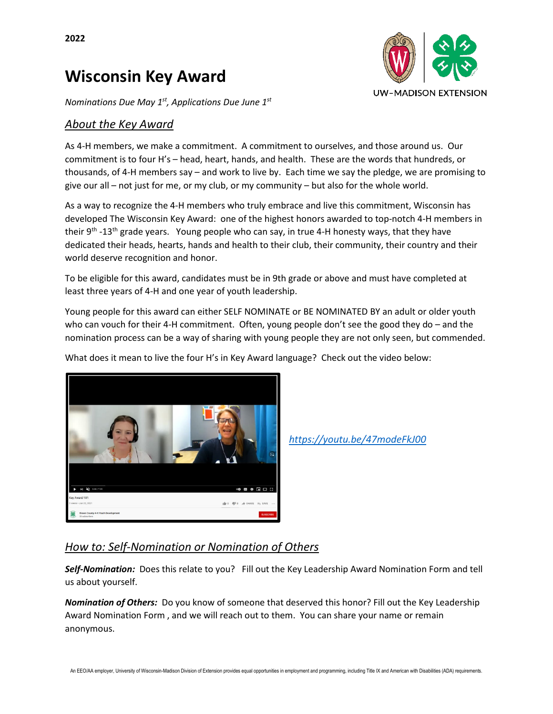# **Wisconsin Key Award**



*Nominations Due May 1st, Applications Due June 1st*

#### *About the Key Award*

As 4-H members, we make a commitment. A commitment to ourselves, and those around us. Our commitment is to four H's – head, heart, hands, and health. These are the words that hundreds, or thousands, of 4-H members say – and work to live by. Each time we say the pledge, we are promising to give our all – not just for me, or my club, or my community – but also for the whole world.

As a way to recognize the 4-H members who truly embrace and live this commitment, Wisconsin has developed The Wisconsin Key Award: one of the highest honors awarded to top-notch 4-H members in their 9<sup>th</sup> -13<sup>th</sup> grade years. Young people who can say, in true 4-H honesty ways, that they have dedicated their heads, hearts, hands and health to their club, their community, their country and their world deserve recognition and honor.

To be eligible for this award, candidates must be in 9th grade or above and must have completed at least three years of 4-H and one year of youth leadership.

Young people for this award can either SELF NOMINATE or BE NOMINATED BY an adult or older youth who can vouch for their 4-H commitment. Often, young people don't see the good they do – and the nomination process can be a way of sharing with young people they are not only seen, but commended.

What does it mean to live the four H's in Key Award language? Check out the video below:



*<https://youtu.be/47modeFkJ00>*

#### *How to: Self-Nomination or Nomination of Others*

*Self-Nomination:* Does this relate to you? Fill out the Key Leadership Award Nomination Form and tell us about yourself.

*Nomination of Others:* Do you know of someone that deserved this honor? Fill out the Key Leadership Award Nomination Form , and we will reach out to them. You can share your name or remain anonymous.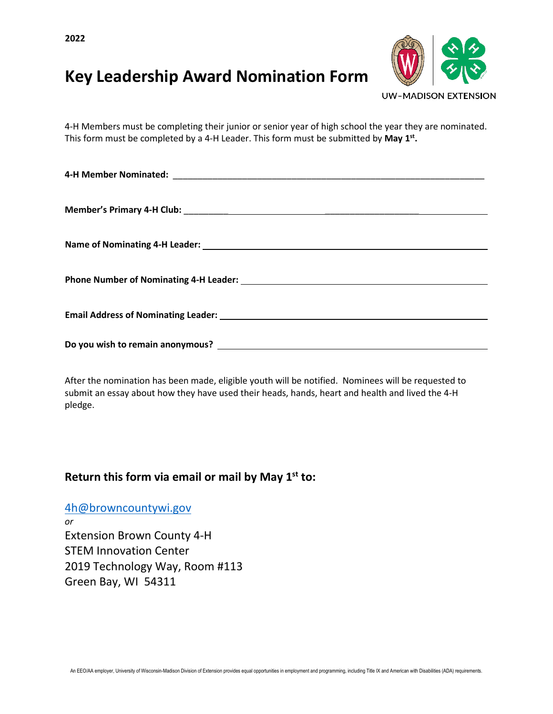**2022**

# **Key Leadership Award Nomination Form**



4-H Members must be completing their junior or senior year of high school the year they are nominated. This form must be completed by a 4-H Leader. This form must be submitted by **May 1st.**

After the nomination has been made, eligible youth will be notified. Nominees will be requested to submit an essay about how they have used their heads, hands, heart and health and lived the 4-H pledge.

### **Return this form via email or mail by May 1st to:**

[4h@browncountywi.gov](mailto:4h@browncountywi.gov) *or* Extension Brown County 4-H STEM Innovation Center 2019 Technology Way, Room #113 Green Bay, WI 54311